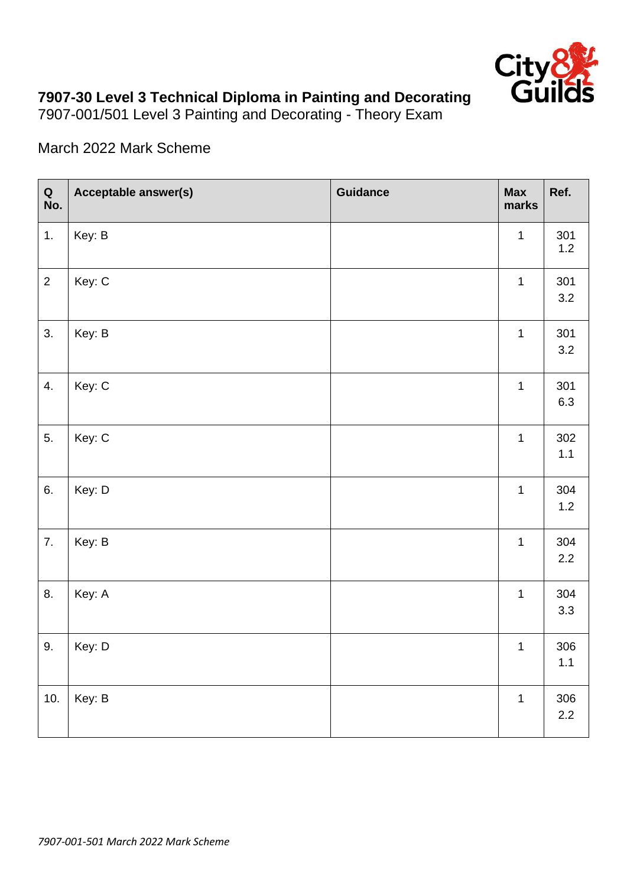

## **7907-30 Level 3 Technical Diploma in Painting and Decorating**

7907-001/501 Level 3 Painting and Decorating - Theory Exam

## March 2022 Mark Scheme

| $\mathbf Q$<br>No. | Acceptable answer(s) | <b>Guidance</b> | <b>Max</b><br>marks | Ref.         |
|--------------------|----------------------|-----------------|---------------------|--------------|
| 1.                 | Key: B               |                 | $\mathbf{1}$        | 301<br>$1.2$ |
| $\overline{2}$     | Key: C               |                 | $\mathbf 1$         | 301<br>3.2   |
| 3.                 | Key: B               |                 | $\mathbf{1}$        | 301<br>3.2   |
| 4.                 | Key: C               |                 | $\mathbf 1$         | 301<br>6.3   |
| 5.                 | Key: C               |                 | $\mathbf 1$         | 302<br>$1.1$ |
| 6.                 | Key: D               |                 | $\mathbf 1$         | 304<br>$1.2$ |
| 7.                 | Key: B               |                 | $\mathbf 1$         | 304<br>2.2   |
| 8.                 | Key: A               |                 | $\mathbf 1$         | 304<br>3.3   |
| 9.                 | Key: D               |                 | $\mathbf{1}$        | 306<br>$1.1$ |
| 10.                | Key: B               |                 | $\mathbf 1$         | 306<br>2.2   |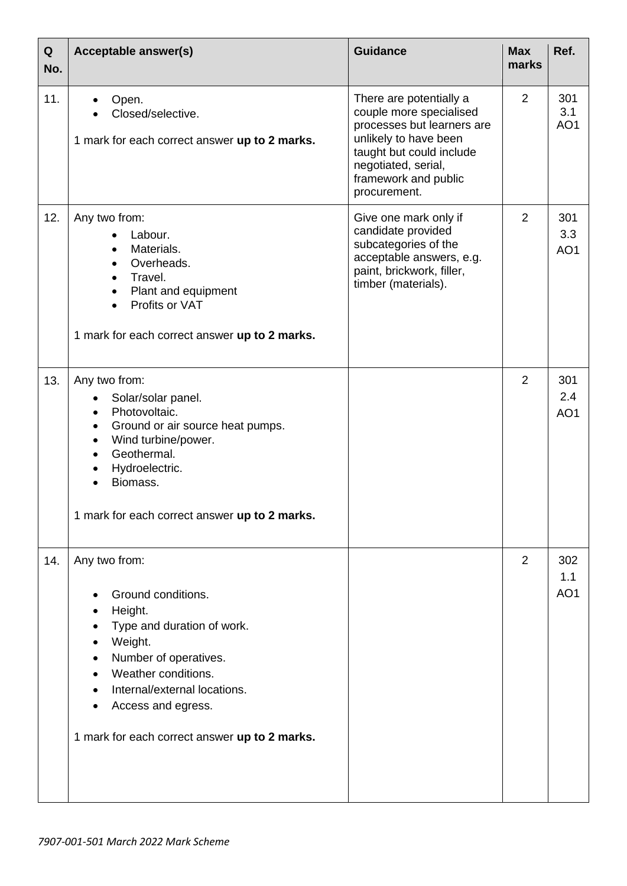| Q<br>No. | <b>Acceptable answer(s)</b>                                                                                                                                                                                                                                                    | <b>Guidance</b>                                                                                                                                                                                      | <b>Max</b><br>marks | Ref.                          |
|----------|--------------------------------------------------------------------------------------------------------------------------------------------------------------------------------------------------------------------------------------------------------------------------------|------------------------------------------------------------------------------------------------------------------------------------------------------------------------------------------------------|---------------------|-------------------------------|
| 11.      | Open.<br>Closed/selective.<br>1 mark for each correct answer up to 2 marks.                                                                                                                                                                                                    | There are potentially a<br>couple more specialised<br>processes but learners are<br>unlikely to have been<br>taught but could include<br>negotiated, serial,<br>framework and public<br>procurement. | 2                   | 301<br>3.1<br>AO <sub>1</sub> |
| 12.      | Any two from:<br>Labour.<br>Materials.<br>Overheads.<br>Travel.<br>Plant and equipment<br>٠<br>Profits or VAT<br>1 mark for each correct answer up to 2 marks.                                                                                                                 | Give one mark only if<br>candidate provided<br>subcategories of the<br>acceptable answers, e.g.<br>paint, brickwork, filler,<br>timber (materials).                                                  | 2                   | 301<br>3.3<br>AO <sub>1</sub> |
| 13.      | Any two from:<br>Solar/solar panel.<br>$\bullet$<br>Photovoltaic.<br>$\bullet$<br>Ground or air source heat pumps.<br>$\bullet$<br>Wind turbine/power.<br>$\bullet$<br>Geothermal.<br>$\bullet$<br>Hydroelectric.<br>Biomass.<br>1 mark for each correct answer up to 2 marks. |                                                                                                                                                                                                      | $\overline{2}$      | 301<br>2.4<br>AO <sub>1</sub> |
| 14.      | Any two from:<br>Ground conditions.<br>Height.<br>Type and duration of work.<br>Weight.<br>Number of operatives.<br>Weather conditions.<br>Internal/external locations.<br>Access and egress.<br>1 mark for each correct answer up to 2 marks.                                 |                                                                                                                                                                                                      | 2                   | 302<br>1.1<br>AO <sub>1</sub> |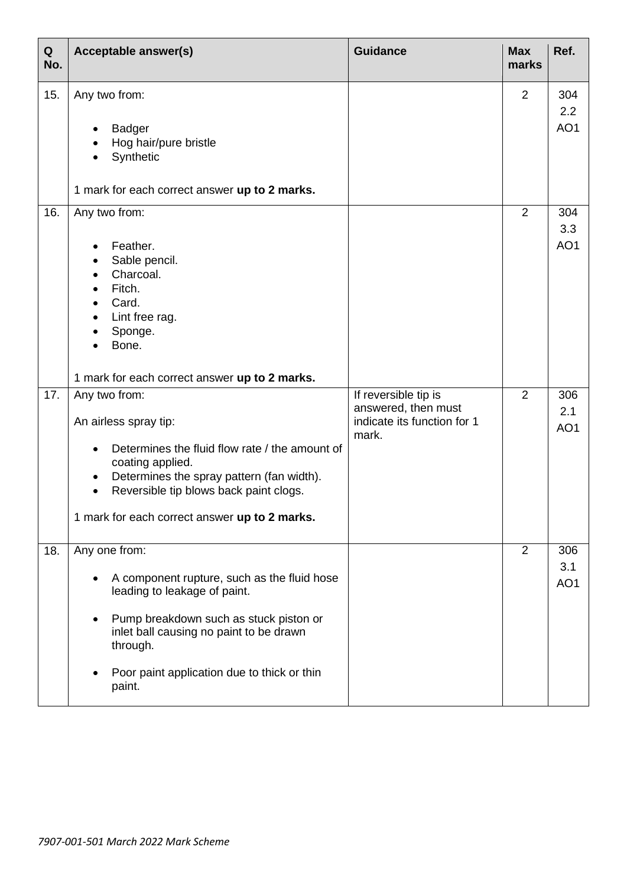| Q<br>No. | Acceptable answer(s)                                                                                                                                                                                                                                                                                                            | <b>Guidance</b>                                                                     | <b>Max</b><br>marks | Ref.                          |
|----------|---------------------------------------------------------------------------------------------------------------------------------------------------------------------------------------------------------------------------------------------------------------------------------------------------------------------------------|-------------------------------------------------------------------------------------|---------------------|-------------------------------|
| 15.      | Any two from:<br>Badger<br>Hog hair/pure bristle<br>Synthetic<br>$\bullet$<br>1 mark for each correct answer up to 2 marks.                                                                                                                                                                                                     |                                                                                     | 2                   | 304<br>2.2<br>AO <sub>1</sub> |
| 16.      | Any two from:<br>Feather.<br>Sable pencil.<br>Charcoal.<br>Fitch.<br>Card.<br>Lint free rag.<br>$\bullet$<br>Sponge.<br>Bone.                                                                                                                                                                                                   |                                                                                     | $\overline{2}$      | 304<br>3.3<br>AO1             |
| 17.      | 1 mark for each correct answer up to 2 marks.<br>Any two from:<br>An airless spray tip:<br>Determines the fluid flow rate / the amount of<br>coating applied.<br>Determines the spray pattern (fan width).<br>$\bullet$<br>Reversible tip blows back paint clogs.<br>$\bullet$<br>1 mark for each correct answer up to 2 marks. | If reversible tip is<br>answered, then must<br>indicate its function for 1<br>mark. | $\overline{2}$      | 306<br>2.1<br>AO1             |
| 18.      | Any one from:<br>A component rupture, such as the fluid hose<br>leading to leakage of paint.<br>Pump breakdown such as stuck piston or<br>inlet ball causing no paint to be drawn<br>through.<br>Poor paint application due to thick or thin<br>paint.                                                                          |                                                                                     | $\overline{2}$      | 306<br>3.1<br>AO <sub>1</sub> |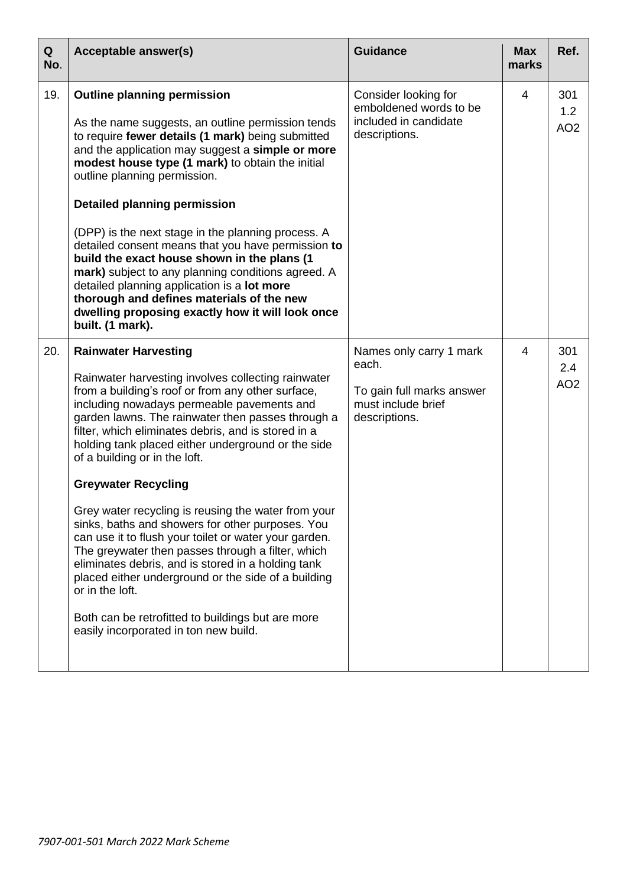| Q<br>No. | <b>Acceptable answer(s)</b>                                                                                                                                                                                                                                                                                                                                                                                                                                                                                                                                                                                                                                                                                                                                                                                                                                                  | <b>Guidance</b>                                                                                      | <b>Max</b><br>marks | Ref.                          |
|----------|------------------------------------------------------------------------------------------------------------------------------------------------------------------------------------------------------------------------------------------------------------------------------------------------------------------------------------------------------------------------------------------------------------------------------------------------------------------------------------------------------------------------------------------------------------------------------------------------------------------------------------------------------------------------------------------------------------------------------------------------------------------------------------------------------------------------------------------------------------------------------|------------------------------------------------------------------------------------------------------|---------------------|-------------------------------|
| 19.      | <b>Outline planning permission</b><br>As the name suggests, an outline permission tends<br>to require fewer details (1 mark) being submitted<br>and the application may suggest a simple or more<br>modest house type (1 mark) to obtain the initial<br>outline planning permission.<br><b>Detailed planning permission</b><br>(DPP) is the next stage in the planning process. A<br>detailed consent means that you have permission to<br>build the exact house shown in the plans (1<br>mark) subject to any planning conditions agreed. A<br>detailed planning application is a lot more<br>thorough and defines materials of the new<br>dwelling proposing exactly how it will look once<br>built. (1 mark).                                                                                                                                                             | Consider looking for<br>emboldened words to be<br>included in candidate<br>descriptions.             | 4                   | 301<br>1.2<br>AO <sub>2</sub> |
| 20.      | <b>Rainwater Harvesting</b><br>Rainwater harvesting involves collecting rainwater<br>from a building's roof or from any other surface,<br>including nowadays permeable pavements and<br>garden lawns. The rainwater then passes through a<br>filter, which eliminates debris, and is stored in a<br>holding tank placed either underground or the side<br>of a building or in the loft.<br><b>Greywater Recycling</b><br>Grey water recycling is reusing the water from your<br>sinks, baths and showers for other purposes. You<br>can use it to flush your toilet or water your garden.<br>The greywater then passes through a filter, which<br>eliminates debris, and is stored in a holding tank<br>placed either underground or the side of a building<br>or in the loft.<br>Both can be retrofitted to buildings but are more<br>easily incorporated in ton new build. | Names only carry 1 mark<br>each.<br>To gain full marks answer<br>must include brief<br>descriptions. | 4                   | 301<br>2.4<br>AO <sub>2</sub> |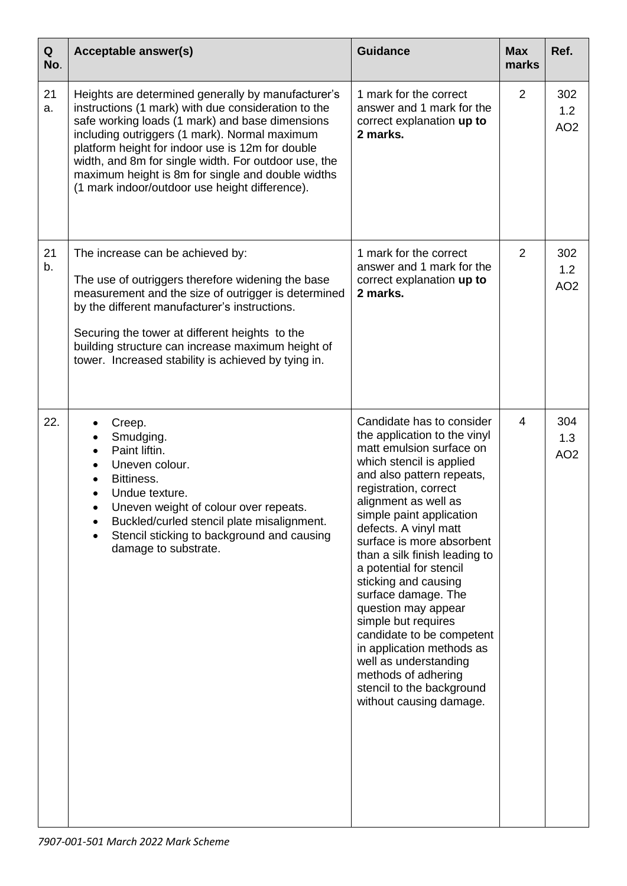| Q<br>No. | <b>Acceptable answer(s)</b>                                                                                                                                                                                                                                                                                                                                                                                                      | <b>Guidance</b>                                                                                                                                                                                                                                                                                                                                                                                                                                                                                                                                                                                              | <b>Max</b><br>marks | Ref.                          |
|----------|----------------------------------------------------------------------------------------------------------------------------------------------------------------------------------------------------------------------------------------------------------------------------------------------------------------------------------------------------------------------------------------------------------------------------------|--------------------------------------------------------------------------------------------------------------------------------------------------------------------------------------------------------------------------------------------------------------------------------------------------------------------------------------------------------------------------------------------------------------------------------------------------------------------------------------------------------------------------------------------------------------------------------------------------------------|---------------------|-------------------------------|
| 21<br>a. | Heights are determined generally by manufacturer's<br>instructions (1 mark) with due consideration to the<br>safe working loads (1 mark) and base dimensions<br>including outriggers (1 mark). Normal maximum<br>platform height for indoor use is 12m for double<br>width, and 8m for single width. For outdoor use, the<br>maximum height is 8m for single and double widths<br>(1 mark indoor/outdoor use height difference). | 1 mark for the correct<br>answer and 1 mark for the<br>correct explanation up to<br>2 marks.                                                                                                                                                                                                                                                                                                                                                                                                                                                                                                                 | 2                   | 302<br>1.2<br>AO <sub>2</sub> |
| 21<br>b. | The increase can be achieved by:<br>The use of outriggers therefore widening the base<br>measurement and the size of outrigger is determined<br>by the different manufacturer's instructions.<br>Securing the tower at different heights to the<br>building structure can increase maximum height of<br>tower. Increased stability is achieved by tying in.                                                                      | 1 mark for the correct<br>answer and 1 mark for the<br>correct explanation up to<br>2 marks.                                                                                                                                                                                                                                                                                                                                                                                                                                                                                                                 | $\overline{2}$      | 302<br>1.2<br>AO <sub>2</sub> |
| 22.      | Creep.<br>Smudging.<br>Paint liftin.<br>$\bullet$<br>Uneven colour.<br>Bittiness.<br>$\bullet$<br>Undue texture.<br>Uneven weight of colour over repeats.<br>Buckled/curled stencil plate misalignment.<br>Stencil sticking to background and causing<br>damage to substrate.                                                                                                                                                    | Candidate has to consider<br>the application to the vinyl<br>matt emulsion surface on<br>which stencil is applied<br>and also pattern repeats,<br>registration, correct<br>alignment as well as<br>simple paint application<br>defects. A vinyl matt<br>surface is more absorbent<br>than a silk finish leading to<br>a potential for stencil<br>sticking and causing<br>surface damage. The<br>question may appear<br>simple but requires<br>candidate to be competent<br>in application methods as<br>well as understanding<br>methods of adhering<br>stencil to the background<br>without causing damage. | 4                   | 304<br>1.3<br>AO <sub>2</sub> |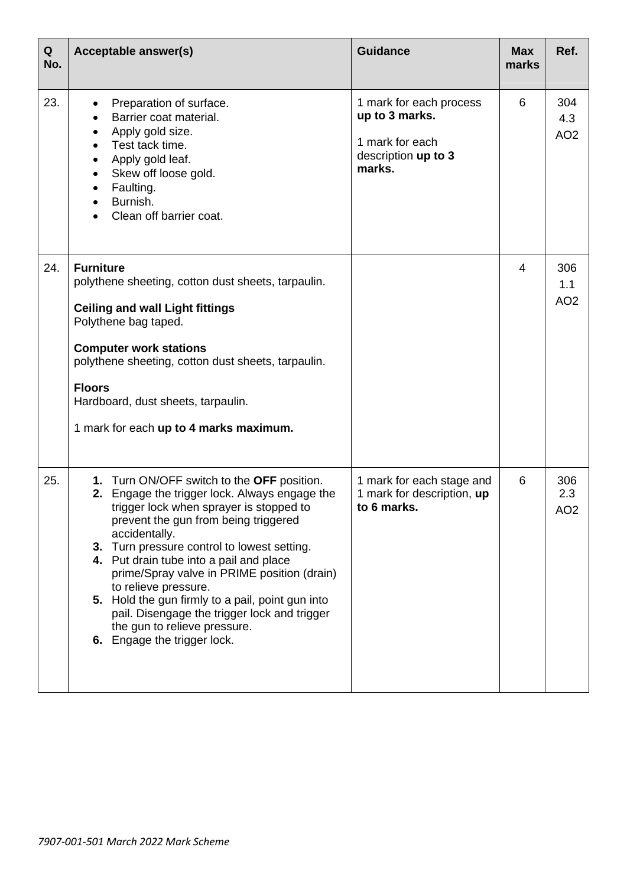| Q<br>No. | Acceptable answer(s)                                                                                                                                                                                                                                                                                                                                                                                                                                                                                                                   | <b>Guidance</b>                                                                               | <b>Max</b><br>marks | Ref.                          |
|----------|----------------------------------------------------------------------------------------------------------------------------------------------------------------------------------------------------------------------------------------------------------------------------------------------------------------------------------------------------------------------------------------------------------------------------------------------------------------------------------------------------------------------------------------|-----------------------------------------------------------------------------------------------|---------------------|-------------------------------|
| 23.      | Preparation of surface.<br>Barrier coat material.<br>Apply gold size.<br>$\bullet$<br>Test tack time.<br>Apply gold leaf.<br>Skew off loose gold.<br>$\bullet$<br>Faulting.<br>$\bullet$<br>Burnish.<br>$\bullet$<br>Clean off barrier coat.                                                                                                                                                                                                                                                                                           | 1 mark for each process<br>up to 3 marks.<br>1 mark for each<br>description up to 3<br>marks. | 6                   | 304<br>4.3<br>AO <sub>2</sub> |
| 24.      | <b>Furniture</b><br>polythene sheeting, cotton dust sheets, tarpaulin.<br><b>Ceiling and wall Light fittings</b><br>Polythene bag taped.<br><b>Computer work stations</b><br>polythene sheeting, cotton dust sheets, tarpaulin.<br><b>Floors</b><br>Hardboard, dust sheets, tarpaulin.<br>1 mark for each up to 4 marks maximum.                                                                                                                                                                                                       |                                                                                               | $\overline{4}$      | 306<br>1.1<br>AO <sub>2</sub> |
| 25.      | Turn ON/OFF switch to the OFF position.<br>1.<br>2. Engage the trigger lock. Always engage the<br>trigger lock when sprayer is stopped to<br>prevent the gun from being triggered<br>accidentally.<br>3. Turn pressure control to lowest setting.<br>4. Put drain tube into a pail and place<br>prime/Spray valve in PRIME position (drain)<br>to relieve pressure.<br>5. Hold the gun firmly to a pail, point gun into<br>pail. Disengage the trigger lock and trigger<br>the gun to relieve pressure.<br>6. Engage the trigger lock. | 1 mark for each stage and<br>1 mark for description, up<br>to 6 marks.                        | 6                   | 306<br>2.3<br>AO2             |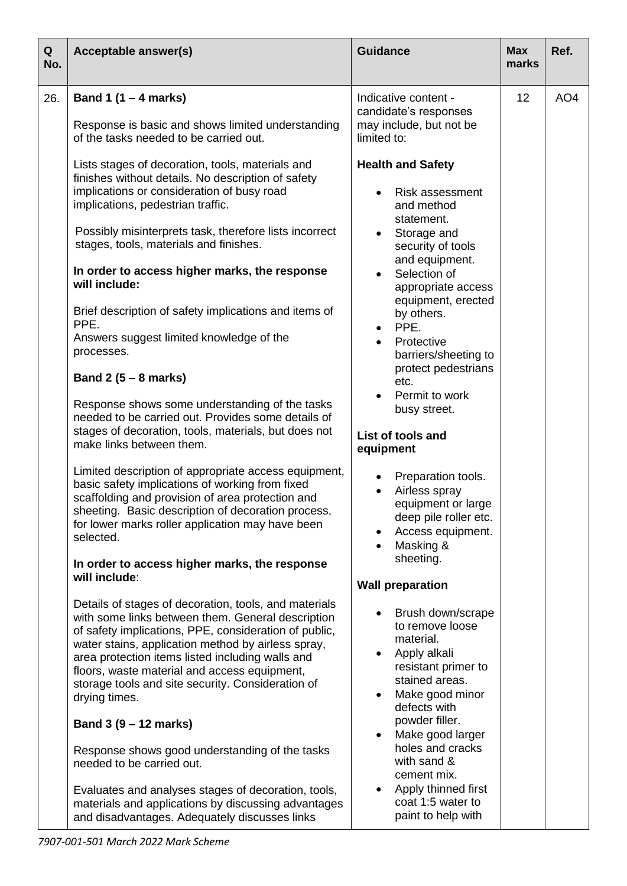| Q<br>No. | Acceptable answer(s)                                                                                                                                                                                                                                                                                                                                                                                                                                                                                                                                                                                                                                                                                                                                                                                                                                                                                                                                                                                                                                                                                                                                                                                                                                                                                                                                                                                                                                 | <b>Guidance</b>                                                                                                                                                                                                                                                                                                                                                                                                                                                                                                                                                                                                                                                                                                 | <b>Max</b><br>marks | Ref.            |
|----------|------------------------------------------------------------------------------------------------------------------------------------------------------------------------------------------------------------------------------------------------------------------------------------------------------------------------------------------------------------------------------------------------------------------------------------------------------------------------------------------------------------------------------------------------------------------------------------------------------------------------------------------------------------------------------------------------------------------------------------------------------------------------------------------------------------------------------------------------------------------------------------------------------------------------------------------------------------------------------------------------------------------------------------------------------------------------------------------------------------------------------------------------------------------------------------------------------------------------------------------------------------------------------------------------------------------------------------------------------------------------------------------------------------------------------------------------------|-----------------------------------------------------------------------------------------------------------------------------------------------------------------------------------------------------------------------------------------------------------------------------------------------------------------------------------------------------------------------------------------------------------------------------------------------------------------------------------------------------------------------------------------------------------------------------------------------------------------------------------------------------------------------------------------------------------------|---------------------|-----------------|
| 26.      | Band 1 $(1 - 4$ marks)<br>Response is basic and shows limited understanding<br>of the tasks needed to be carried out.<br>Lists stages of decoration, tools, materials and                                                                                                                                                                                                                                                                                                                                                                                                                                                                                                                                                                                                                                                                                                                                                                                                                                                                                                                                                                                                                                                                                                                                                                                                                                                                            | Indicative content -<br>candidate's responses<br>may include, but not be<br>limited to:                                                                                                                                                                                                                                                                                                                                                                                                                                                                                                                                                                                                                         | 12                  | AO <sub>4</sub> |
|          | finishes without details. No description of safety<br>implications or consideration of busy road<br>implications, pedestrian traffic.<br>Possibly misinterprets task, therefore lists incorrect<br>stages, tools, materials and finishes.<br>In order to access higher marks, the response<br>will include:<br>Brief description of safety implications and items of<br>PPE.<br>Answers suggest limited knowledge of the<br>processes.<br>Band 2 $(5 - 8$ marks)<br>Response shows some understanding of the tasks<br>needed to be carried out. Provides some details of<br>stages of decoration, tools, materials, but does not<br>make links between them.<br>Limited description of appropriate access equipment,<br>basic safety implications of working from fixed<br>scaffolding and provision of area protection and<br>sheeting. Basic description of decoration process,<br>for lower marks roller application may have been<br>selected.<br>In order to access higher marks, the response<br>will include:<br>Details of stages of decoration, tools, and materials<br>with some links between them. General description<br>of safety implications, PPE, consideration of public,<br>water stains, application method by airless spray,<br>area protection items listed including walls and<br>floors, waste material and access equipment,<br>storage tools and site security. Consideration of<br>drying times.<br>Band 3 (9 – 12 marks) | <b>Health and Safety</b><br><b>Risk assessment</b><br>and method<br>statement.<br>Storage and<br>security of tools<br>and equipment.<br>Selection of<br>appropriate access<br>equipment, erected<br>by others.<br>PPE.<br>$\bullet$<br>Protective<br>barriers/sheeting to<br>protect pedestrians<br>etc.<br>Permit to work<br>busy street.<br>List of tools and<br>equipment<br>Preparation tools.<br>Airless spray<br>equipment or large<br>deep pile roller etc.<br>Access equipment.<br>Masking &<br>sheeting.<br><b>Wall preparation</b><br>Brush down/scrape<br>to remove loose<br>material.<br>Apply alkali<br>resistant primer to<br>stained areas.<br>Make good minor<br>defects with<br>powder filler. |                     |                 |
|          | Response shows good understanding of the tasks<br>needed to be carried out.<br>Evaluates and analyses stages of decoration, tools,                                                                                                                                                                                                                                                                                                                                                                                                                                                                                                                                                                                                                                                                                                                                                                                                                                                                                                                                                                                                                                                                                                                                                                                                                                                                                                                   | Make good larger<br>$\bullet$<br>holes and cracks<br>with sand &<br>cement mix.<br>Apply thinned first                                                                                                                                                                                                                                                                                                                                                                                                                                                                                                                                                                                                          |                     |                 |
|          | materials and applications by discussing advantages<br>and disadvantages. Adequately discusses links                                                                                                                                                                                                                                                                                                                                                                                                                                                                                                                                                                                                                                                                                                                                                                                                                                                                                                                                                                                                                                                                                                                                                                                                                                                                                                                                                 | coat 1:5 water to<br>paint to help with                                                                                                                                                                                                                                                                                                                                                                                                                                                                                                                                                                                                                                                                         |                     |                 |

*7907-001-501 March 2022 Mark Scheme*